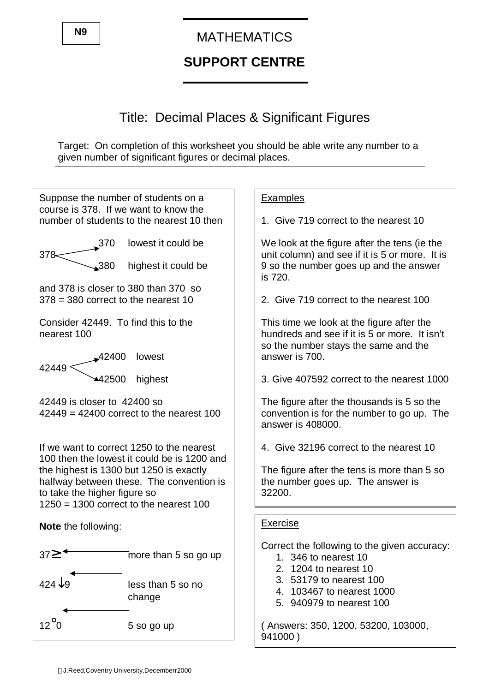# **SUPPORT CENTRE**

## Title: Decimal Places & Significant Figures

Target: On completion of this worksheet you should be able write any number to a given number of significant figures or decimal places.